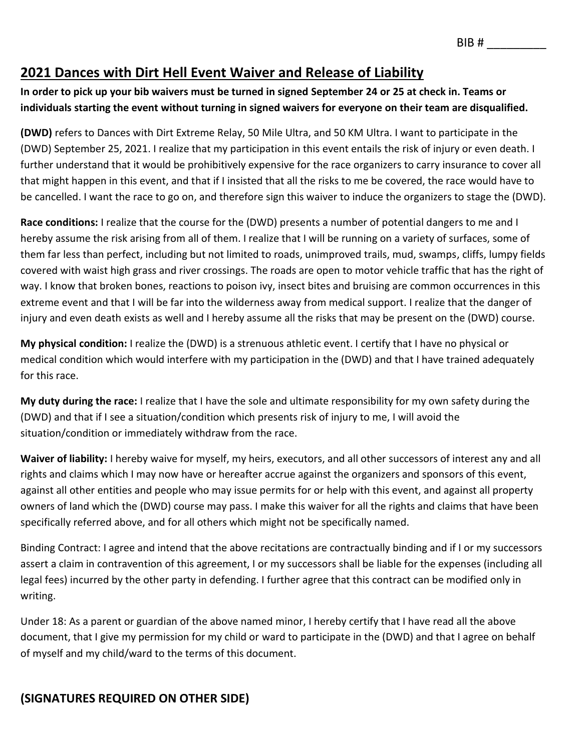# **2021 Dances with Dirt Hell Event Waiver and Release of Liability**

#### **In order to pick up your bib waivers must be turned in signed September 24 or 25 at check in. Teams or individuals starting the event without turning in signed waivers for everyone on their team are disqualified.**

**(DWD)** refers to Dances with Dirt Extreme Relay, 50 Mile Ultra, and 50 KM Ultra. I want to participate in the (DWD) September 25, 2021. I realize that my participation in this event entails the risk of injury or even death. I further understand that it would be prohibitively expensive for the race organizers to carry insurance to cover all that might happen in this event, and that if I insisted that all the risks to me be covered, the race would have to be cancelled. I want the race to go on, and therefore sign this waiver to induce the organizers to stage the (DWD).

**Race conditions:** I realize that the course for the (DWD) presents a number of potential dangers to me and I hereby assume the risk arising from all of them. I realize that I will be running on a variety of surfaces, some of them far less than perfect, including but not limited to roads, unimproved trails, mud, swamps, cliffs, lumpy fields covered with waist high grass and river crossings. The roads are open to motor vehicle traffic that has the right of way. I know that broken bones, reactions to poison ivy, insect bites and bruising are common occurrences in this extreme event and that I will be far into the wilderness away from medical support. I realize that the danger of injury and even death exists as well and I hereby assume all the risks that may be present on the (DWD) course.

**My physical condition:** I realize the (DWD) is a strenuous athletic event. I certify that I have no physical or medical condition which would interfere with my participation in the (DWD) and that I have trained adequately for this race.

**My duty during the race:** I realize that I have the sole and ultimate responsibility for my own safety during the (DWD) and that if I see a situation/condition which presents risk of injury to me, I will avoid the situation/condition or immediately withdraw from the race.

**Waiver of liability:** I hereby waive for myself, my heirs, executors, and all other successors of interest any and all rights and claims which I may now have or hereafter accrue against the organizers and sponsors of this event, against all other entities and people who may issue permits for or help with this event, and against all property owners of land which the (DWD) course may pass. I make this waiver for all the rights and claims that have been specifically referred above, and for all others which might not be specifically named.

Binding Contract: I agree and intend that the above recitations are contractually binding and if I or my successors assert a claim in contravention of this agreement, I or my successors shall be liable for the expenses (including all legal fees) incurred by the other party in defending. I further agree that this contract can be modified only in writing.

Under 18: As a parent or guardian of the above named minor, I hereby certify that I have read all the above document, that I give my permission for my child or ward to participate in the (DWD) and that I agree on behalf of myself and my child/ward to the terms of this document.

### **(SIGNATURES REQUIRED ON OTHER SIDE)**